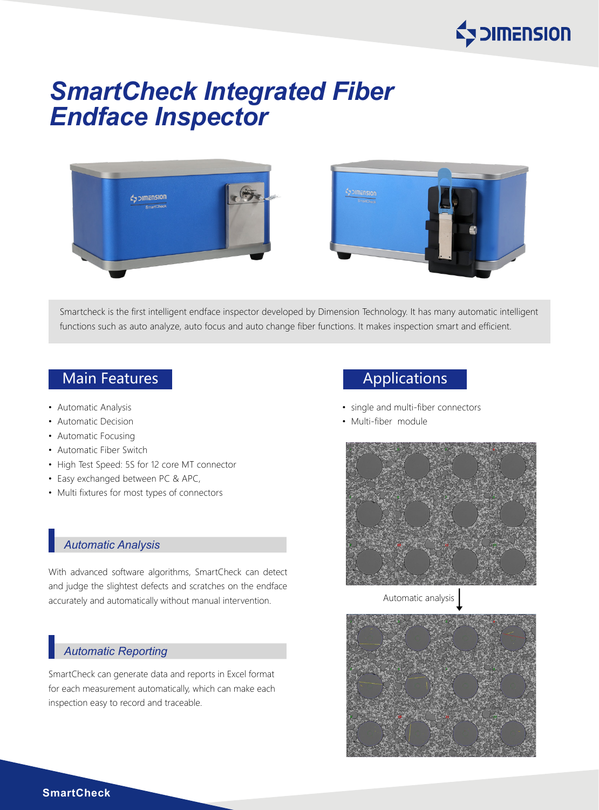

# *SmartCheck Integrated Fiber Endface Inspector*





Smartcheck is the first intelligent endface inspector developed by Dimension Technology. It has many automatic intelligent functions such as auto analyze, auto focus and auto change fiber functions. It makes inspection smart and efficient.

## Main Features **Applications** Main Features Applications

- Automatic Analysis
- Automatic Decision
- Automatic Focusing
- Automatic Fiber Switch
- High Test Speed: 5S for 12 core MT connector
- Easy exchanged between PC & APC,
- Multi fixtures for most types of connectors

#### *Automatic Analysis*

With advanced software algorithms, SmartCheck can detect and judge the slightest defects and scratches on the endface accurately and automatically without manual intervention.

### *Automatic Reporting*

SmartCheck can generate data and reports in Excel format for each measurement automatically, which can make each inspection easy to record and traceable.

- single and multi-fiber connectors
- Multi-fiber module



Automatic analysis



**SmartCheck**